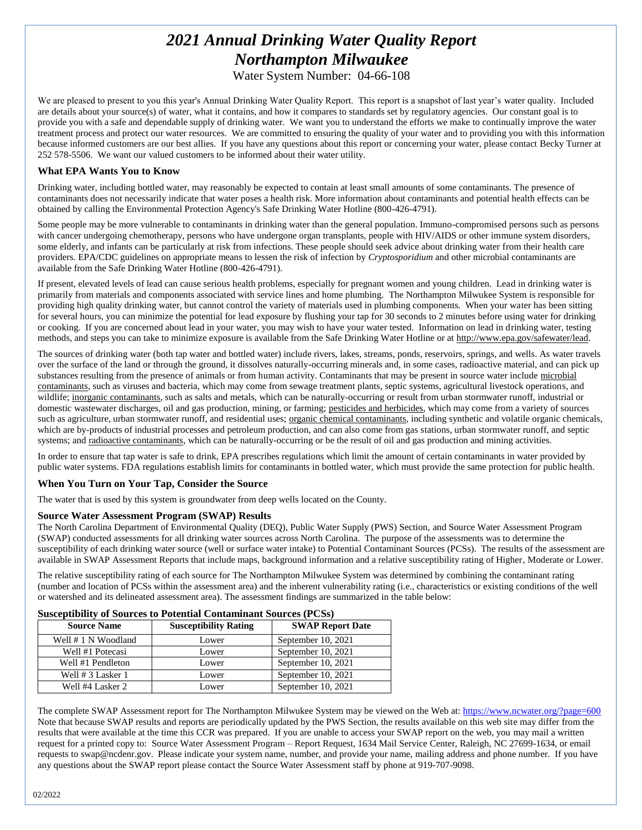# *2021 Annual Drinking Water Quality Report Northampton Milwaukee*

Water System Number: 04-66-108

We are pleased to present to you this year's Annual Drinking Water Quality Report. This report is a snapshot of last year's water quality. Included are details about your source(s) of water, what it contains, and how it compares to standards set by regulatory agencies. Our constant goal is to provide you with a safe and dependable supply of drinking water. We want you to understand the efforts we make to continually improve the water treatment process and protect our water resources. We are committed to ensuring the quality of your water and to providing you with this information because informed customers are our best allies. If you have any questions about this report or concerning your water, please contact Becky Turner at 252 578-5506. We want our valued customers to be informed about their water utility.

### **What EPA Wants You to Know**

Drinking water, including bottled water, may reasonably be expected to contain at least small amounts of some contaminants. The presence of contaminants does not necessarily indicate that water poses a health risk. More information about contaminants and potential health effects can be obtained by calling the Environmental Protection Agency's Safe Drinking Water Hotline (800-426-4791).

Some people may be more vulnerable to contaminants in drinking water than the general population. Immuno-compromised persons such as persons with cancer undergoing chemotherapy, persons who have undergone organ transplants, people with HIV/AIDS or other immune system disorders, some elderly, and infants can be particularly at risk from infections. These people should seek advice about drinking water from their health care providers. EPA/CDC guidelines on appropriate means to lessen the risk of infection by *Cryptosporidium* and other microbial contaminants are available from the Safe Drinking Water Hotline (800-426-4791).

If present, elevated levels of lead can cause serious health problems, especially for pregnant women and young children. Lead in drinking water is primarily from materials and components associated with service lines and home plumbing. The Northampton Milwukee System is responsible for providing high quality drinking water, but cannot control the variety of materials used in plumbing components. When your water has been sitting for several hours, you can minimize the potential for lead exposure by flushing your tap for 30 seconds to 2 minutes before using water for drinking or cooking. If you are concerned about lead in your water, you may wish to have your water tested. Information on lead in drinking water, testing methods, and steps you can take to minimize exposure is available from the Safe Drinking Water Hotline or at http://www.epa.gov/safewater/lead.

The sources of drinking water (both tap water and bottled water) include rivers, lakes, streams, ponds, reservoirs, springs, and wells. As water travels over the surface of the land or through the ground, it dissolves naturally-occurring minerals and, in some cases, radioactive material, and can pick up substances resulting from the presence of animals or from human activity. Contaminants that may be present in source water include microbial contaminants, such as viruses and bacteria, which may come from sewage treatment plants, septic systems, agricultural livestock operations, and wildlife; inorganic contaminants, such as salts and metals, which can be naturally-occurring or result from urban stormwater runoff, industrial or domestic wastewater discharges, oil and gas production, mining, or farming; pesticides and herbicides, which may come from a variety of sources such as agriculture, urban stormwater runoff, and residential uses; organic chemical contaminants, including synthetic and volatile organic chemicals, which are by-products of industrial processes and petroleum production, and can also come from gas stations, urban stormwater runoff, and septic systems; and radioactive contaminants, which can be naturally-occurring or be the result of oil and gas production and mining activities.

In order to ensure that tap water is safe to drink, EPA prescribes regulations which limit the amount of certain contaminants in water provided by public water systems. FDA regulations establish limits for contaminants in bottled water, which must provide the same protection for public health.

# **When You Turn on Your Tap, Consider the Source**

The water that is used by this system is groundwater from deep wells located on the County.

### **Source Water Assessment Program (SWAP) Results**

The North Carolina Department of Environmental Quality (DEQ), Public Water Supply (PWS) Section, and Source Water Assessment Program (SWAP) conducted assessments for all drinking water sources across North Carolina. The purpose of the assessments was to determine the susceptibility of each drinking water source (well or surface water intake) to Potential Contaminant Sources (PCSs). The results of the assessment are available in SWAP Assessment Reports that include maps, background information and a relative susceptibility rating of Higher, Moderate or Lower.

The relative susceptibility rating of each source for The Northampton Milwukee System was determined by combining the contaminant rating (number and location of PCSs within the assessment area) and the inherent vulnerability rating (i.e., characteristics or existing conditions of the well or watershed and its delineated assessment area). The assessment findings are summarized in the table below:

#### **Susceptibility of Sources to Potential Contaminant Sources (PCSs)**

| <b>Source Name</b>  | <b>Susceptibility Rating</b> | <b>SWAP Report Date</b> |
|---------------------|------------------------------|-------------------------|
| Well # 1 N Woodland | Lower                        | September 10, 2021      |
| Well #1 Potecasi    | Lower                        | September 10, 2021      |
| Well #1 Pendleton   | Lower                        | September 10, 2021      |
| Well # 3 Lasker 1   | Lower                        | September 10, 2021      |
| Well #4 Lasker 2    | Lower                        | September 10, 2021      |

The complete SWAP Assessment report for The Northampton Milwukee System may be viewed on the Web at[: https://www.ncwater.org/?page=600](https://www.ncwater.org/?page=600) Note that because SWAP results and reports are periodically updated by the PWS Section, the results available on this web site may differ from the results that were available at the time this CCR was prepared. If you are unable to access your SWAP report on the web, you may mail a written request for a printed copy to: Source Water Assessment Program – Report Request, 1634 Mail Service Center, Raleigh, NC 27699-1634, or email requests to swap@ncdenr.gov. Please indicate your system name, number, and provide your name, mailing address and phone number. If you have any questions about the SWAP report please contact the Source Water Assessment staff by phone at 919-707-9098.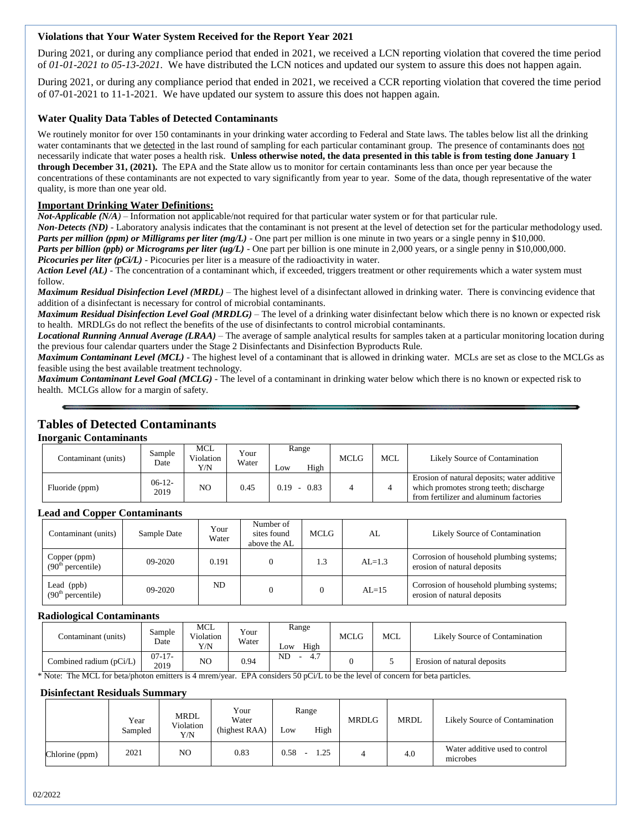# **Violations that Your Water System Received for the Report Year 2021**

During 2021, or during any compliance period that ended in 2021, we received a LCN reporting violation that covered the time period of *01-01-2021 to 05-13-2021.* We have distributed the LCN notices and updated our system to assure this does not happen again.

During 2021, or during any compliance period that ended in 2021, we received a CCR reporting violation that covered the time period of 07-01-2021 to 11-1-2021*.* We have updated our system to assure this does not happen again.

# **Water Quality Data Tables of Detected Contaminants**

We routinely monitor for over 150 contaminants in your drinking water according to Federal and State laws. The tables below list all the drinking water contaminants that we detected in the last round of sampling for each particular contaminant group. The presence of contaminants does not necessarily indicate that water poses a health risk. **Unless otherwise noted, the data presented in this table is from testing done January 1 through December 31, (2021).** The EPA and the State allow us to monitor for certain contaminants less than once per year because the concentrations of these contaminants are not expected to vary significantly from year to year. Some of the data, though representative of the water quality, is more than one year old.

### **Important Drinking Water Definitions:**

*Not-Applicable (N/A)* – Information not applicable/not required for that particular water system or for that particular rule.

*Non-Detects (ND)* - Laboratory analysis indicates that the contaminant is not present at the level of detection set for the particular methodology used. *Parts per million (ppm) or Milligrams per liter (mg/L)* - One part per million is one minute in two years or a single penny in \$10,000.

*Parts per billion (ppb) or Micrograms per liter (ug/L)* - One part per billion is one minute in 2,000 years, or a single penny in \$10,000,000. *Picocuries per liter (pCi/L)* - Picocuries per liter is a measure of the radioactivity in water.

*Action Level (AL) -* The concentration of a contaminant which, if exceeded, triggers treatment or other requirements which a water system must follow.

*Maximum Residual Disinfection Level (MRDL)* – The highest level of a disinfectant allowed in drinking water. There is convincing evidence that addition of a disinfectant is necessary for control of microbial contaminants.

*Maximum Residual Disinfection Level Goal (MRDLG)* – The level of a drinking water disinfectant below which there is no known or expected risk to health. MRDLGs do not reflect the benefits of the use of disinfectants to control microbial contaminants.

*Locational Running Annual Average (LRAA)* – The average of sample analytical results for samples taken at a particular monitoring location during the previous four calendar quarters under the Stage 2 Disinfectants and Disinfection Byproducts Rule.

*Maximum Contaminant Level (MCL)* - The highest level of a contaminant that is allowed in drinking water. MCLs are set as close to the MCLGs as feasible using the best available treatment technology.

*Maximum Contaminant Level Goal (MCLG)* - The level of a contaminant in drinking water below which there is no known or expected risk to health. MCLGs allow for a margin of safety.

# **Tables of Detected Contaminants**

### **Inorganic Contaminants**

| Contaminant (units) | Sample<br>Date   | MCL<br>Violation<br>Y/N | Your<br>Water | Range<br>High<br>Low | MCLG | <b>MCL</b> | Likely Source of Contamination                                                                                                  |
|---------------------|------------------|-------------------------|---------------|----------------------|------|------------|---------------------------------------------------------------------------------------------------------------------------------|
| Fluoride (ppm)      | $06-12-$<br>2019 | NO                      | 0.45          | 0.83<br>0.19         |      |            | Erosion of natural deposits; water additive<br>which promotes strong teeth; discharge<br>from fertilizer and aluminum factories |

# **Lead and Copper Contaminants**

| . .                                           |             |               |                                          |      |            |                                                                         |
|-----------------------------------------------|-------------|---------------|------------------------------------------|------|------------|-------------------------------------------------------------------------|
| Contaminant (units)                           | Sample Date | Your<br>Water | Number of<br>sites found<br>above the AL | MCLG | AL         | Likely Source of Contamination                                          |
| Copper (ppm)<br>(90 <sup>th</sup> percentile) | $09-2020$   | 0.191         |                                          | 1.3  | $AI = 1.3$ | Corrosion of household plumbing systems;<br>erosion of natural deposits |
| Lead (ppb)<br>(90 <sup>th</sup> percentile)   | $09 - 2020$ | ND            |                                          |      | $AL=15$    | Corrosion of household plumbing systems;<br>erosion of natural deposits |

### **Radiological Contaminants**

| Contaminant (units)       | Sample<br>Date   | <b>MCL</b><br>Violation<br>Y/N | Your<br>Water | Range<br>High<br>LOW | <b>MCLG</b> | <b>MCL</b> | Likely Source of Contamination |
|---------------------------|------------------|--------------------------------|---------------|----------------------|-------------|------------|--------------------------------|
| Combined radium $(pCi/L)$ | $07-17-$<br>2019 | NO                             | 0.94          | 4.7<br>ND            |             |            | Erosion of natural deposits    |

\* Note: The MCL for beta/photon emitters is 4 mrem/year. EPA considers 50 pCi/L to be the level of concern for beta particles.

### **Disinfectant Residuals Summary**

|                | Year<br>Sampled | MRDL<br>Violation<br>Y/N | Your<br>Water<br>(highest RAA) | LOW  | Range<br>High | <b>MRDLG</b> | <b>MRDL</b> | Likely Source of Contamination             |
|----------------|-----------------|--------------------------|--------------------------------|------|---------------|--------------|-------------|--------------------------------------------|
| Chlorine (ppm) | 2021            | NO                       | 0.83                           | 0.58 | 1.25          |              | 4.0         | Water additive used to control<br>microbes |